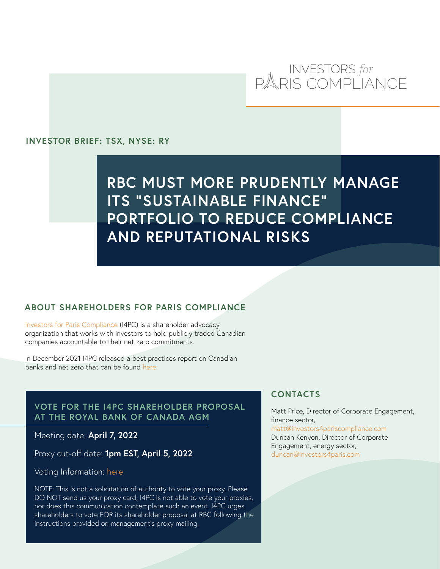# INVESTORS for<br>PARIS COMPLIANCE

#### **INVESTOR BRIEF: TSX, NYSE: RY**

## **RBC MUST MORE PRUDENTLY MANAGE ITS "SUSTAINABLE FINANCE" PORTFOLIO TO REDUCE COMPLIANCE AND REPUTATIONAL RISKS**

#### **ABOUT SHAREHOLDERS FOR PARIS COMPLIANCE**

[Investors for Paris Compliance](https://www.investorsforparis.com/) (I4PC) is a shareholder advocacy organization that works with investors to hold publicly traded Canadian companies accountable to their net zero commitments.

In December 2021 I4PC released a best practices report on Canadian banks and net zero that can be found [here](https://www.investorsforparis.com/report-release-best-practices-for-canadian-banks-net-zero-implementation/).

### **VOTE FOR THE I4PC SHAREHOLDER PROPOSAL AT THE ROYAL BANK OF CANADA AGM**

Meeting date: **April 7, 2022**

Proxy cut-off date: **1pm EST, April 5, 2022**

#### Voting Information: [here](https://www.rbc.com/investor-relations/_assets-custom/pdf/2022englishproxy.pdf)

NOTE: This is not a solicitation of authority to vote your proxy. Please DO NOT send us your proxy card; I4PC is not able to vote your proxies, nor does this communication contemplate such an event. I4PC urges shareholders to vote FOR its shareholder proposal at RBC following the instructions provided on management's proxy mailing.

#### **CONTACTS**

Matt Price, Director of Corporate Engagement, finance sector, [matt@investors4pariscompliance.com](mailto:matt@investors4pariscompliance.com) Duncan Kenyon, Director of Corporate Engagement, energy sector, [duncan@investors4paris.com](mailto:duncan@investors4paris.com)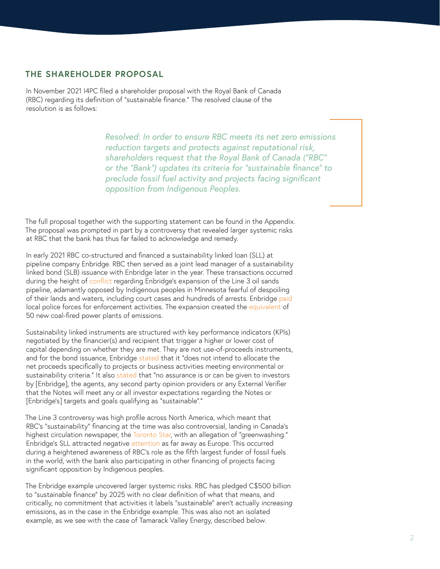#### **THE SHAREHOLDER PROPOSAL**

In November 2021 I4PC filed a shareholder proposal with the Royal Bank of Canada (RBC) regarding its definition of "sustainable finance." The resolved clause of the resolution is as follows:

> *Resolved: In order to ensure RBC meets its net zero emissions reduction targets and protects against reputational risk, shareholders request that the Royal Bank of Canada ("RBC" or the "Bank") updates its criteria for "sustainable finance" to preclude fossil fuel activity and projects facing significant opposition from Indigenous Peoples.*

The full proposal together with the supporting statement can be found in the Appendix. The proposal was prompted in part by a controversy that revealed larger systemic risks at RBC that the bank has thus far failed to acknowledge and remedy.

In early 2021 RBC co-structured and financed a sustainability linked loan (SLL) at pipeline company Enbridge. RBC then served as a joint lead manager of a sustainability linked bond (SLB) issuance with Enbridge later in the year. These transactions occurred during the height of [conflict](https://www.newsweek.com/what-line-3-pipeline-why-it-controversial-squad-minnesota-1625829) regarding Enbridge's expansion of the Line 3 oil sands pipeline, adamantly opposed by Indigenous peoples in Minnesota fearful of despoiling of their lands and waters, including court cases and hundreds of arrests. Enbridge [paid](https://abcnews.go.com/US/pipeline-firm-deposited-millions-state-fund-pay-local/story?id=80844727) local police forces for enforcement activities. The expansion created the [equivalent](https://www.mepartnership.org/wp-content/uploads/2020/03/Giant-Step-Backward-report-01-29-19-FINAL-online-version-2.pdf) of 50 new coal-fired power plants of emissions.

Sustainability linked instruments are structured with key performance indicators (KPIs) negotiated by the financier(s) and recipient that trigger a higher or lower cost of capital depending on whether they are met. They are not use-of-proceeds instruments, and for the bond issuance, Enbridge [stated](https://drive.google.com/file/d/1LOYZKjpHkgpKIgk4dGs8hPnYx2aPiE8D/view?usp=sharing) that it "does not intend to allocate the net proceeds specifically to projects or business activities meeting environmental or sustainability criteria." It also [stated](https://drive.google.com/file/d/1LOYZKjpHkgpKIgk4dGs8hPnYx2aPiE8D/view?usp=sharing) that "no assurance is or can be given to investors by [Enbridge], the agents, any second party opinion providers or any External Verifier that the Notes will meet any or all investor expectations regarding the Notes or [Enbridge's] targets and goals qualifying as "sustainable"."

The Line 3 controversy was high profile across North America, which meant that RBC's "sustainability" financing at the time was also controversial, landing in Canada's highest circulation newspaper, the [Toronto Star,](https://www.thestar.com/news/canada/2021/09/27/canadian-banks-are-loaning-enbridge-over-1b-with-questionable-sustainability-requirements.html) with an allegation of "greenwashing." Enbridge's SLL attracted negative [attention](https://reclaimfinance.org/site/en/2021/03/10/enbridge-sustainable-credit-tar-sands-rights-violations/) as far away as Europe. This occurred during a heightened awareness of RBC's role as the fifth largest funder of fossil fuels in the world, with the bank also participating in other financing of projects facing significant opposition by Indigenous peoples.

The Enbridge example uncovered larger systemic risks. RBC has pledged C\$500 billion to "sustainable finance" by 2025 with no clear definition of what that means, and critically, no commitment that activities it labels "sustainable" aren't actually *increasing*  emissions, as in the case in the Enbridge example. This was also not an isolated example, as we see with the case of Tamarack Valley Energy, described below.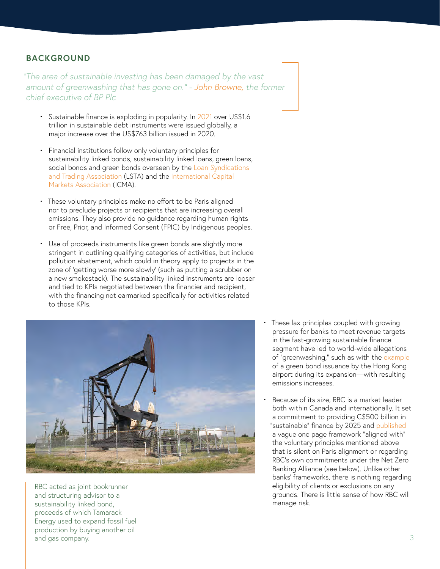#### **BACKGROUND**

*"The area of sustainable investing has been damaged by the vast amount of greenwashing that has gone on." - [John Browne](https://www.bloomberg.com/professional/blog/sustainable-finance-hurt-by-greenwashing-says-browne/), the former chief executive of BP Plc*

- Sustainable finance is exploding in popularity. In [2021](https://about.bnef.com/blog/1h-2022-sustainable-finance-market-outlook/) over US\$1.6 trillion in sustainable debt instruments were issued globally, a major increase over the US\$763 billion issued in 2020.
- Financial institutions follow only voluntary principles for sustainability linked bonds, sustainability linked loans, green loans, social bonds and green bonds overseen by the Loan Syndications [and Trading Association](https://www.lsta.org/content/sustainability-linked-loan-principles-sllp/) (LSTA) and the [International Capital](https://www.icmagroup.org/sustainable-finance/the-principles-guidelines-and-handbooks)  [Markets Association](https://www.icmagroup.org/sustainable-finance/the-principles-guidelines-and-handbooks) (ICMA).
- These voluntary principles make no effort to be Paris aligned nor to preclude projects or recipients that are increasing overall emissions. They also provide no guidance regarding human rights or Free, Prior, and Informed Consent (FPIC) by Indigenous peoples.
- Use of proceeds instruments like green bonds are slightly more stringent in outlining qualifying categories of activities, but include pollution abatement, which could in theory apply to projects in the zone of 'getting worse more slowly' (such as putting a scrubber on a new smokestack). The sustainability linked instruments are looser and tied to KPIs negotiated between the financier and recipient, with the financing not earmarked specifically for activities related to those KPIs.



RBC acted as joint bookrunner and structuring advisor to a sustainability linked bond, proceeds of which Tamarack Energy used to expand fossil fuel production by buying another oil and gas company.

- These lax principles coupled with growing pressure for banks to meet revenue targets in the fast-growing sustainable finance segment have led to world-wide allegations of "greenwashing," such as with the [example](https://www.scmp.com/business/article/3162333/sustainable-finance-greenwashing-concerns-raised-hong-kong-airport-floats) of a green bond issuance by the Hong Kong airport during its expansion—with resulting emissions increases.
- Because of its size, RBC is a market leader both within Canada and internationally. It set a commitment to providing C\$500 billion in "sustainable" finance by 2025 and [published](http://www.rbc.com/community-sustainability/_assets-custom/pdf/OurCommitment_EN.PDF) a vague one page framework "aligned with" the voluntary principles mentioned above that is silent on Paris alignment or regarding RBC's own commitments under the Net Zero Banking Alliance (see below). Unlike other banks' frameworks, there is nothing regarding eligibility of clients or exclusions on any grounds. There is little sense of how RBC will manage risk.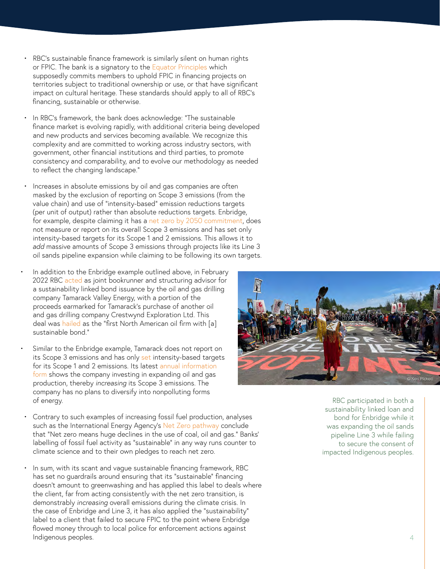- RBC's sustainable finance framework is similarly silent on human rights or FPIC. The bank is a signatory to the [Equator Principles](https://equator-principles.com/app/uploads/The-Equator-Principles_EP4_July2020.pdf) which supposedly commits members to uphold FPIC in financing projects on territories subject to traditional ownership or use, or that have significant impact on cultural heritage. These standards should apply to all of RBC's financing, sustainable or otherwise.
- In RBC's framework, the bank does acknowledge: "The sustainable finance market is evolving rapidly, with additional criteria being developed and new products and services becoming available. We recognize this complexity and are committed to working across industry sectors, with government, other financial institutions and third parties, to promote consistency and comparability, and to evolve our methodology as needed to reflect the changing landscape."
- Increases in absolute emissions by oil and gas companies are often masked by the exclusion of reporting on Scope 3 emissions (from the value chain) and use of "intensity-based" emission reductions targets (per unit of output) rather than absolute reductions targets. Enbridge, for example, despite claiming it has a [net zero by 2050 commitment,](https://www.enbridge.com/~/media/Enb/Documents/About%20Us/Net_Zero_by_2050.pdf?la=en) does not measure or report on its overall Scope 3 emissions and has set only intensity-based targets for its Scope 1 and 2 emissions. This allows it to *add* massive amounts of Scope 3 emissions through projects like its Line 3 oil sands pipeline expansion while claiming to be following its own targets.
- In addition to the Enbridge example outlined above, in February 2022 RBC [acted](https://finance.yahoo.com/news/tamarack-valley-energy-announces-issuance-003900829.html) as joint bookrunner and structuring advisor for a sustainability linked bond issuance by the oil and gas drilling company Tamarack Valley Energy, with a portion of the proceeds earmarked for Tamarack's purchase of another oil and gas drilling company Crestwynd Exploration Ltd. This deal was [hailed](https://financialpost.com/pmn/business-pmn/tamarack-is-first-north-american-oil-firm-with-sustainable-bond) as the "first North American oil firm with [a] sustainable bond."
- Similar to the Enbridge example, Tamarack does not report on its Scope 3 emissions and has only [set](http://www.tamarackvalley.ca/wp-content/uploads/2022/01/22-01-13-January-2022-Corporate-Presentation.pdf) intensity-based targets for its Scope 1 and 2 emissions. Its latest [annual information](http://www.tamarackvalley.ca/wp-content/uploads/2021/03/21-03-01-TVE-AIF-YE-2020-FINAL.pdf)  [form](http://www.tamarackvalley.ca/wp-content/uploads/2021/03/21-03-01-TVE-AIF-YE-2020-FINAL.pdf) shows the company investing in expanding oil and gas production, thereby *increasing* its Scope 3 emissions. The company has no plans to diversify into nonpolluting forms of energy.
- Contrary to such examples of increasing fossil fuel production, analyses such as the International Energy Agency's [Net Zero pathway](https://www.iea.org/reports/net-zero-by-2050) conclude that "Net zero means huge declines in the use of coal, oil and gas." Banks' labelling of fossil fuel activity as "sustainable" in any way runs counter to climate science and to their own pledges to reach net zero.
- In sum, with its scant and vague sustainable financing framework, RBC has set no guardrails around ensuring that its "sustainable" financing doesn't amount to greenwashing and has applied this label to deals where the client, far from acting consistently with the net zero transition, is demonstrably *increasing* overall emissions during the climate crisis. In the case of Enbridge and Line 3, it has also applied the "sustainability" label to a client that failed to secure FPIC to the point where Enbridge flowed money through to local police for enforcement actions against Indigenous peoples.



RBC participated in both a sustainability linked loan and bond for Enbridge while it was expanding the oil sands pipeline Line 3 while failing to secure the consent of impacted Indigenous peoples.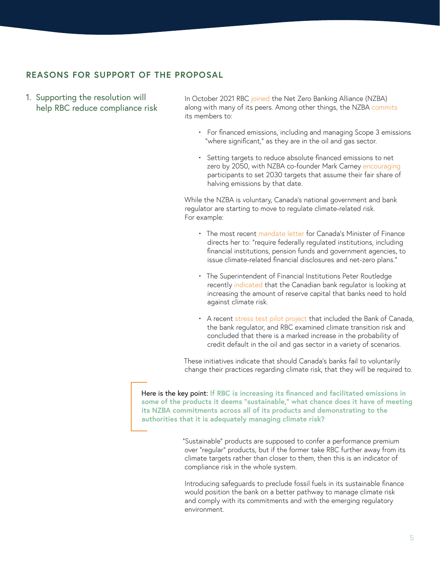### **REASONS FOR SUPPORT OF THE PROPOSAL**

1. Supporting the resolution will help RBC reduce compliance risk

In October 2021 RBC [joined](https://www.rbc.com/newsroom/news/article.html?article=125515) the Net Zero Banking Alliance (NZBA) along with many of its peers. Among other things, the NZBA [commits](https://www.unepfi.org/wordpress/wp-content/uploads/2021/04/UNEP-FI-NZBA-Commitment-Statement.pdf) its members to:

- For financed emissions, including and managing Scope 3 emissions "where significant," as they are in the oil and gas sector.
- Setting targets to reduce absolute financed emissions to net zero by 2050, with NZBA co-founder Mark Carney [encouraging](https://racetozero.unfccc.int/race-to-zero-and-gfanz-ensuring-the-rigour-and-impact-of-financial-sector-net-zero-commitments-and-action/) participants to set 2030 targets that assume their fair share of halving emissions by that date.

While the NZBA is voluntary, Canada's national government and bank regulator are starting to move to regulate climate-related risk. For example:

- The most recent [mandate letter](https://pm.gc.ca/en/mandate-letters/2021/12/16/deputy-prime-minister-and-minister-finance-mandate-letter) for Canada's Minister of Finance directs her to: "require federally regulated institutions, including financial institutions, pension funds and government agencies, to issue climate-related financial disclosures and net-zero plans."
- The Superintendent of Financial Institutions Peter Routledge recently [indicated](https://www.investmentexecutive.com/news/industry-news/banking-regulator-looking-at-higher-capital-buffer-for-climate-risks/) that the Canadian bank regulator is looking at increasing the amount of reserve capital that banks need to hold against climate risk.
- A recent [stress test pilot project](https://www.bankofcanada.ca/wp-content/uploads/2021/11/BoC-OSFI-Using-Scenario-Analysis-to-Assess-Climate-Transition-Risk.pdf) that included the Bank of Canada, the bank regulator, and RBC examined climate transition risk and concluded that there is a marked increase in the probability of credit default in the oil and gas sector in a variety of scenarios.

These initiatives indicate that should Canada's banks fail to voluntarily change their practices regarding climate risk, that they will be required to.

Here is the key point: **If RBC is increasing its financed and facilitated emissions in some of the products it deems "sustainable," what chance does it have of meeting its NZBA commitments across all of its products and demonstrating to the authorities that it is adequately managing climate risk?**

> "Sustainable" products are supposed to confer a performance premium over "regular" products, but if the former take RBC further away from its climate targets rather than closer to them, then this is an indicator of compliance risk in the whole system.

> Introducing safeguards to preclude fossil fuels in its sustainable finance would position the bank on a better pathway to manage climate risk and comply with its commitments and with the emerging regulatory environment.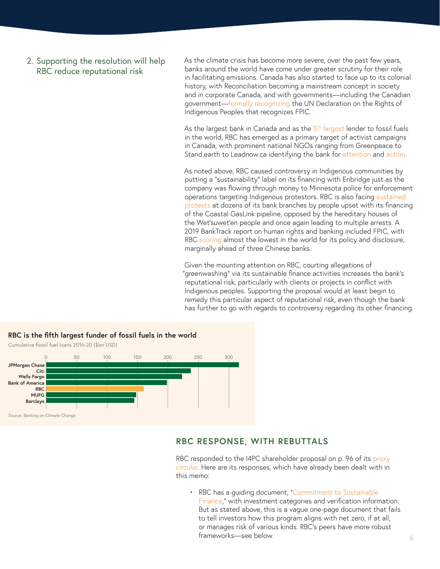#### 2. Supporting the resolution will help RBC reduce reputational risk

As the climate crisis has become more severe, over the past few years, banks around the world have come under greater scrutiny for their role in facilitating emissions. Canada has also started to face up to its colonial history, with Reconciliation becoming a mainstream concept in society and in corporate Canada, and with governments—including the Canadian government[—formally recognizing](https://www.justice.gc.ca/eng/declaration/about-apropos.html) the UN Declaration on the Rights of Indigenous Peoples that recognizes FPIC.

As the largest bank in Canada and as the  $5<sup>th</sup>$  largest lender to fossil fuels in the world, RBC has emerged as a primary target of activist campaigns in Canada, with prominent national NGOs ranging from Greenpeace to Stand.earth to Leadnow.ca identifying the bank for [attention](https://www.stand.earth/latest/climate-finance/canada%E2%80%99s-banks-and-fossil-fuels/rbc-revealed-exposes-greenwashing-canada%E2%80%99s) and [action](https://www.greenpeace.org/canada/en/press-release/51583/breaking-greenpeace-activists-disrupt-business-as-usual-in-torontos-financial-district-calling-on-canadian-banks-to-stop-funding-climate-chaos-and-injustice/).

As noted above, RBC caused controversy in Indigenous communities by putting a "sustainability" label on its financing with Enbridge just as the company was flowing through money to Minnesota police for enforcement operations targeting Indigenous protestors. RBC is also facing [sustained](https://www.newswire.ca/news-releases/on-the-eve-of-cop26-stand-earth-joins-people-across-the-country-that-are-unhappy-with-canada-s-largest-bank-rbc-for-its-refusal-to-stop-financing-new-fossil-fuel-projects-800456703.html)  [protests](https://www.newswire.ca/news-releases/on-the-eve-of-cop26-stand-earth-joins-people-across-the-country-that-are-unhappy-with-canada-s-largest-bank-rbc-for-its-refusal-to-stop-financing-new-fossil-fuel-projects-800456703.html) at dozens of its bank branches by people upset with its financing of the Coastal GasLink pipeline, opposed by the hereditary houses of the Wet'suwet'en people and once again leading to multiple arrests. A 2019 BankTrack report on human rights and banking included FPIC, with RBC [scoring](https://www.banktrack.org/download/the_banktrack_human_rights_benchmark_2019/191125humanrightsbenchmark_1.pdf) almost the lowest in the world for its policy and disclosure, marginally ahead of three Chinese banks.

Given the mounting attention on RBC, courting allegations of "greenwashing" via its sustainable finance activities increases the bank's reputational risk, particularly with clients or projects in conflict with Indigenous peoples. Supporting the proposal would at least begin to remedy this particular aspect of reputational risk, even though the bank has further to go with regards to controversy regarding its other financing.



#### **RBC RESPONSE, WITH REBUTTALS**

RBC responded to the I4PC shareholder proposal on p. 96 of its proxy [circular](https://www.rbc.com/investor-relations/_assets-custom/pdf/2022englishproxy.pdf). Here are its responses, which have already been dealt with in this memo:

• RBC has a guiding document, "[Commitment to Sustainable](http://www.rbc.com/community-sustainability/_assets-custom/pdf/OurCommitment_EN.PDF)  [Finance](http://www.rbc.com/community-sustainability/_assets-custom/pdf/OurCommitment_EN.PDF)," with investment categories and verification information. But as stated above, this is a vague one-page document that fails to tell investors how this program aligns with net zero, if at all, or manages risk of various kinds. RBC's peers have more robust frameworks—see below.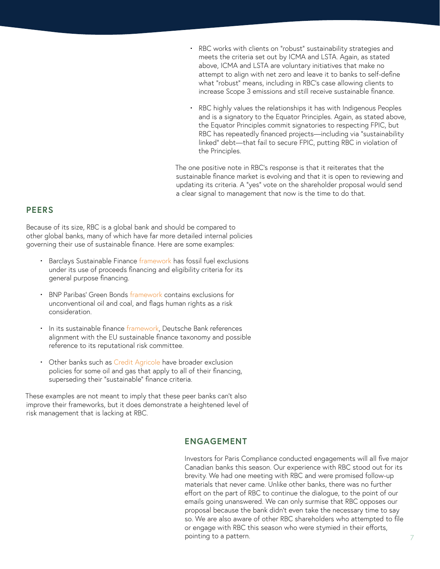- RBC works with clients on "robust" sustainability strategies and meets the criteria set out by ICMA and LSTA. Again, as stated above, ICMA and LSTA are voluntary initiatives that make no attempt to align with net zero and leave it to banks to self-define what "robust" means, including in RBC's case allowing clients to increase Scope 3 emissions and still receive sustainable finance.
- RBC highly values the relationships it has with Indigenous Peoples and is a signatory to the Equator Principles. Again, as stated above, the Equator Principles commit signatories to respecting FPIC, but RBC has repeatedly financed projects—including via "sustainability linked" debt—that fail to secure FPIC, putting RBC in violation of the Principles.

The one positive note in RBC's response is that it reiterates that the sustainable finance market is evolving and that it is open to reviewing and updating its criteria. A "yes" vote on the shareholder proposal would send a clear signal to management that now is the time to do that.

#### **PEERS**

Because of its size, RBC is a global bank and should be compared to other global banks, many of which have far more detailed internal policies governing their use of sustainable finance. Here are some examples:

- Barclays Sustainable Finance [framework](https://home.barclays/content/dam/home-barclays/documents/citizenship/ESG/Barclays-Sustainable-Finance-Framework-2020.pdf) has fossil fuel exclusions under its use of proceeds financing and eligibility criteria for its general purpose financing.
- BNP Paribas' Green Bonds [framework](https://invest.bnpparibas/document/bnp-paribas-green-bond-framework-4) contains exclusions for unconventional oil and coal, and flags human rights as a risk consideration.
- In its sustainable finance [framework](https://www.db.com/files/documents/2020july-db-sustainable-finance-framework-final-for-disclosure.pdf), Deutsche Bank references alignment with the EU sustainable finance taxonomy and possible reference to its reputational risk committee.
- Other banks such as [Credit Agricole](https://www.ca-cib.com/sites/default/files/2018-01/Politique%20RSE%20P%C3%A9trole%20Gaz%20-%20Decembre%202017%20-%20Eng.pdf) have broader exclusion policies for some oil and gas that apply to all of their financing, superseding their "sustainable" finance criteria.

These examples are not meant to imply that these peer banks can't also improve their frameworks, but it does demonstrate a heightened level of risk management that is lacking at RBC.

#### **ENGAGEMENT**

Investors for Paris Compliance conducted engagements will all five major Canadian banks this season. Our experience with RBC stood out for its brevity. We had one meeting with RBC and were promised follow-up materials that never came. Unlike other banks, there was no further effort on the part of RBC to continue the dialogue, to the point of our emails going unanswered. We can only surmise that RBC opposes our proposal because the bank didn't even take the necessary time to say so. We are also aware of other RBC shareholders who attempted to file or engage with RBC this season who were stymied in their efforts, pointing to a pattern.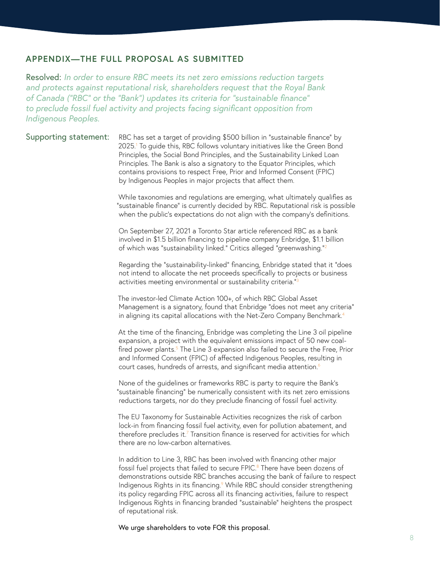#### **APPENDIX—THE FULL PROPOSAL AS SUBMITTED**

Resolved: *In order to ensure RBC meets its net zero emissions reduction targets and protects against reputational risk, shareholders request that the Royal Bank of Canada ("RBC" or the "Bank") updates its criteria for "sustainable finance" to preclude fossil fuel activity and projects facing significant opposition from Indigenous Peoples.*

Supporting statement: RBC has set a target of providing \$500 billion in "sustainable finance" by 2025.1 To guide this, RBC follows voluntary initiatives like the Green Bond Principles, the Social Bond Principles, and the Sustainability Linked Loan Principles. The Bank is also a signatory to the Equator Principles, which contains provisions to respect Free, Prior and Informed Consent (FPIC) by Indigenous Peoples in major projects that affect them.

> While taxonomies and regulations are emerging, what ultimately qualifies as "sustainable finance" is currently decided by RBC. Reputational risk is possible when the public's expectations do not align with the company's definitions.

On September 27, 2021 a Toronto Star article referenced RBC as a bank involved in \$1.5 billion financing to pipeline company Enbridge, \$1.1 billion of which was "sustainability linked." Critics alleged "greenwashing."2

Regarding the "sustainability-linked" financing, Enbridge stated that it "does not intend to allocate the net proceeds specifically to projects or business activities meeting environmental or sustainability criteria."3

The investor-led Climate Action 100+, of which RBC Global Asset Management is a signatory, found that Enbridge "does not meet any criteria" in aligning its capital allocations with the Net-Zero Company Benchmark.<sup>4</sup>

At the time of the financing, Enbridge was completing the Line 3 oil pipeline expansion, a project with the equivalent emissions impact of 50 new coalfired power plants.<sup>5</sup> The Line 3 expansion also failed to secure the Free, Prior and Informed Consent (FPIC) of affected Indigenous Peoples, resulting in court cases, hundreds of arrests, and significant media attention.<sup>6</sup>

None of the guidelines or frameworks RBC is party to require the Bank's "sustainable financing" be numerically consistent with its net zero emissions reductions targets, nor do they preclude financing of fossil fuel activity.

The EU Taxonomy for Sustainable Activities recognizes the risk of carbon lock-in from financing fossil fuel activity, even for pollution abatement, and therefore precludes it. $<sup>7</sup>$  Transition finance is reserved for activities for which</sup> there are no low-carbon alternatives.

In addition to Line 3, RBC has been involved with financing other major fossil fuel projects that failed to secure FPIC.<sup>8</sup> There have been dozens of demonstrations outside RBC branches accusing the bank of failure to respect Indigenous Rights in its financing.<sup>9</sup> While RBC should consider strengthening its policy regarding FPIC across all its financing activities, failure to respect Indigenous Rights in financing branded "sustainable" heightens the prospect of reputational risk.

We urge shareholders to vote FOR this proposal.